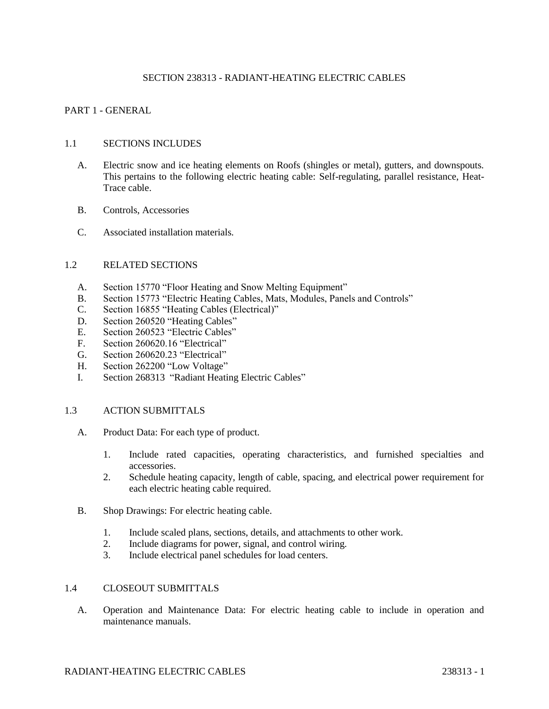### SECTION 238313 - RADIANT-HEATING ELECTRIC CABLES

### PART 1 - GENERAL

#### 1.1 SECTIONS INCLUDES

- A. Electric snow and ice heating elements on Roofs (shingles or metal), gutters, and downspouts. This pertains to the following electric heating cable: Self-regulating, parallel resistance, Heat-Trace cable.
- B. Controls, Accessories
- C. Associated installation materials.

#### 1.2 RELATED SECTIONS

- A. Section 15770 "Floor Heating and Snow Melting Equipment"
- B. Section 15773 "Electric Heating Cables, Mats, Modules, Panels and Controls"
- C. Section 16855 "Heating Cables (Electrical)"
- D. Section 260520 "Heating Cables"
- E. Section 260523 "Electric Cables"
- F. Section 260620.16 "Electrical"
- G. Section 260620.23 "Electrical"
- H. Section 262200 "Low Voltage"
- I. Section 268313 "Radiant Heating Electric Cables"

#### 1.3 ACTION SUBMITTALS

- A. Product Data: For each type of product.
	- 1. Include rated capacities, operating characteristics, and furnished specialties and accessories.
	- 2. Schedule heating capacity, length of cable, spacing, and electrical power requirement for each electric heating cable required.
- B. Shop Drawings: For electric heating cable.
	- 1. Include scaled plans, sections, details, and attachments to other work.
	- 2. Include diagrams for power, signal, and control wiring.
	- 3. Include electrical panel schedules for load centers.

#### 1.4 CLOSEOUT SUBMITTALS

A. Operation and Maintenance Data: For electric heating cable to include in operation and maintenance manuals.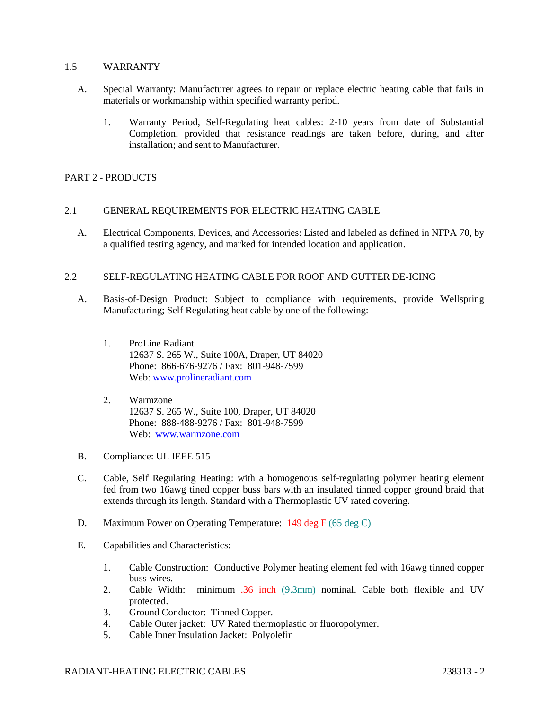### 1.5 WARRANTY

- A. Special Warranty: Manufacturer agrees to repair or replace electric heating cable that fails in materials or workmanship within specified warranty period.
	- 1. Warranty Period, Self-Regulating heat cables: 2-10 years from date of Substantial Completion, provided that resistance readings are taken before, during, and after installation; and sent to Manufacturer.

## PART 2 - PRODUCTS

#### 2.1 GENERAL REQUIREMENTS FOR ELECTRIC HEATING CABLE

A. Electrical Components, Devices, and Accessories: Listed and labeled as defined in NFPA 70, by a qualified testing agency, and marked for intended location and application.

#### 2.2 SELF-REGULATING HEATING CABLE FOR ROOF AND GUTTER DE-ICING

- A. Basis-of-Design Product: Subject to compliance with requirements, provide Wellspring Manufacturing; Self Regulating heat cable by one of the following:
	- 1. ProLine Radiant 12637 S. 265 W., Suite 100A, Draper, UT 84020 Phone: 866-676-9276 / Fax: 801-948-7599 Web: [www.prolineradiant.com](http://www.prolineradiant.com/)
	- 2. Warmzone 12637 S. 265 W., Suite 100, Draper, UT 84020 Phone: 888-488-9276 / Fax: 801-948-7599 Web: [www.warmzone.com](http://www.warmzone.com/)
- B. Compliance: UL IEEE 515
- C. Cable, Self Regulating Heating: with a homogenous self-regulating polymer heating element fed from two 16awg tined copper buss bars with an insulated tinned copper ground braid that extends through its length. Standard with a Thermoplastic UV rated covering.
- D. Maximum Power on Operating Temperature: 149 deg F (65 deg C)
- E. Capabilities and Characteristics:
	- 1. Cable Construction: Conductive Polymer heating element fed with 16awg tinned copper buss wires.
	- 2. Cable Width: minimum .36 inch (9.3mm) nominal. Cable both flexible and UV protected.
	- 3. Ground Conductor: Tinned Copper.
	- 4. Cable Outer jacket: UV Rated thermoplastic or fluoropolymer.
	- 5. Cable Inner Insulation Jacket: Polyolefin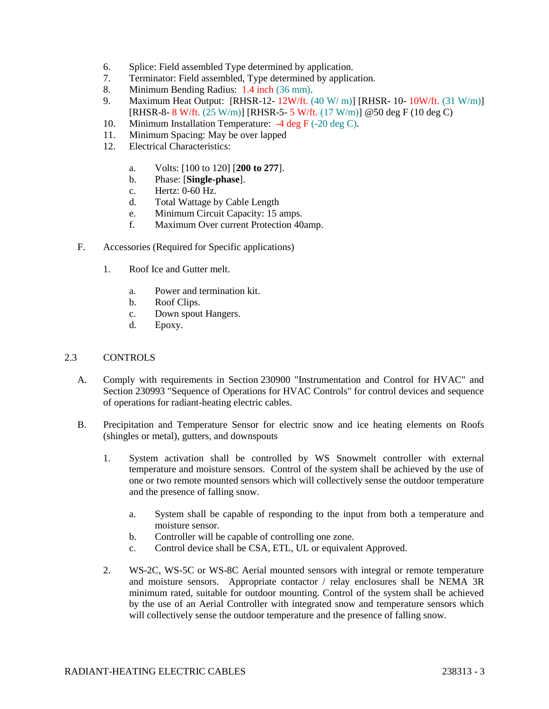- 6. Splice: Field assembled Type determined by application.
- 7. Terminator: Field assembled, Type determined by application.
- 8. Minimum Bending Radius: 1.4 inch (36 mm).
- 9. Maximum Heat Output: [RHSR-12- 12W/ft. (40 W/ m)] [RHSR- 10- 10W/ft. (31 W/m)] [RHSR-8- 8 W/ft. (25 W/m)] [RHSR-5- 5 W/ft. (17 W/m)] @50 deg F (10 deg C)
- 10. Minimum Installation Temperature: -4 deg F (-20 deg C).
- 11. Minimum Spacing: May be over lapped
- 12. Electrical Characteristics:
	- a. Volts: [100 to 120] [**200 to 277**].
	- b. Phase: [**Single-phase**].
	- c. Hertz: 0-60 Hz.
	- d. Total Wattage by Cable Length
	- e. Minimum Circuit Capacity: 15 amps.
	- f. Maximum Over current Protection 40amp.
- F. Accessories (Required for Specific applications)
	- 1. Roof Ice and Gutter melt.
		- a. Power and termination kit.
		- b. Roof Clips.
		- c. Down spout Hangers.
		- d. Epoxy.

#### 2.3 CONTROLS

- A. Comply with requirements in Section 230900 "Instrumentation and Control for HVAC" and Section 230993 "Sequence of Operations for HVAC Controls" for control devices and sequence of operations for radiant-heating electric cables.
- B. Precipitation and Temperature Sensor for electric snow and ice heating elements on Roofs (shingles or metal), gutters, and downspouts
	- 1. System activation shall be controlled by WS Snowmelt controller with external temperature and moisture sensors. Control of the system shall be achieved by the use of one or two remote mounted sensors which will collectively sense the outdoor temperature and the presence of falling snow.
		- a. System shall be capable of responding to the input from both a temperature and moisture sensor.
		- b. Controller will be capable of controlling one zone.
		- c. Control device shall be CSA, ETL, UL or equivalent Approved.
	- 2. WS-2C, WS-5C or WS-8C Aerial mounted sensors with integral or remote temperature and moisture sensors. Appropriate contactor / relay enclosures shall be NEMA 3R minimum rated, suitable for outdoor mounting. Control of the system shall be achieved by the use of an Aerial Controller with integrated snow and temperature sensors which will collectively sense the outdoor temperature and the presence of falling snow.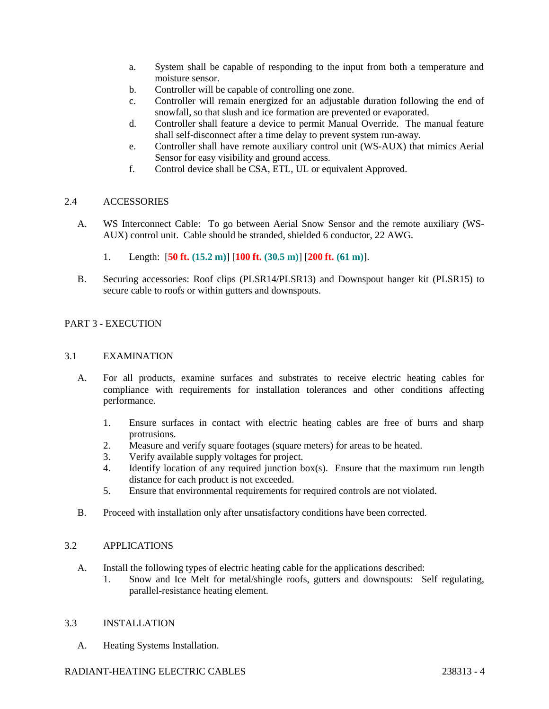- a. System shall be capable of responding to the input from both a temperature and moisture sensor.
- b. Controller will be capable of controlling one zone.
- c. Controller will remain energized for an adjustable duration following the end of snowfall, so that slush and ice formation are prevented or evaporated.
- d. Controller shall feature a device to permit Manual Override. The manual feature shall self-disconnect after a time delay to prevent system run-away.
- e. Controller shall have remote auxiliary control unit (WS-AUX) that mimics Aerial Sensor for easy visibility and ground access.
- f. Control device shall be CSA, ETL, UL or equivalent Approved.

#### 2.4 ACCESSORIES

- A. WS Interconnect Cable: To go between Aerial Snow Sensor and the remote auxiliary (WS-AUX) control unit. Cable should be stranded, shielded 6 conductor, 22 AWG.
	- 1. Length: [**50 ft. (15.2 m)**] [**100 ft. (30.5 m)**] [**200 ft. (61 m)**].
- B. Securing accessories: Roof clips (PLSR14/PLSR13) and Downspout hanger kit (PLSR15) to secure cable to roofs or within gutters and downspouts.

## PART 3 - EXECUTION

#### 3.1 EXAMINATION

- A. For all products, examine surfaces and substrates to receive electric heating cables for compliance with requirements for installation tolerances and other conditions affecting performance.
	- 1. Ensure surfaces in contact with electric heating cables are free of burrs and sharp protrusions.
	- 2. Measure and verify square footages (square meters) for areas to be heated.
	- 3. Verify available supply voltages for project.
	- 4. Identify location of any required junction box(s). Ensure that the maximum run length distance for each product is not exceeded.
	- 5. Ensure that environmental requirements for required controls are not violated.
- B. Proceed with installation only after unsatisfactory conditions have been corrected.

#### 3.2 APPLICATIONS

- A. Install the following types of electric heating cable for the applications described:
	- 1. Snow and Ice Melt for metal/shingle roofs, gutters and downspouts: Self regulating, parallel-resistance heating element.

## 3.3 INSTALLATION

A. Heating Systems Installation.

## RADIANT-HEATING ELECTRIC CABLES 238313 - 4